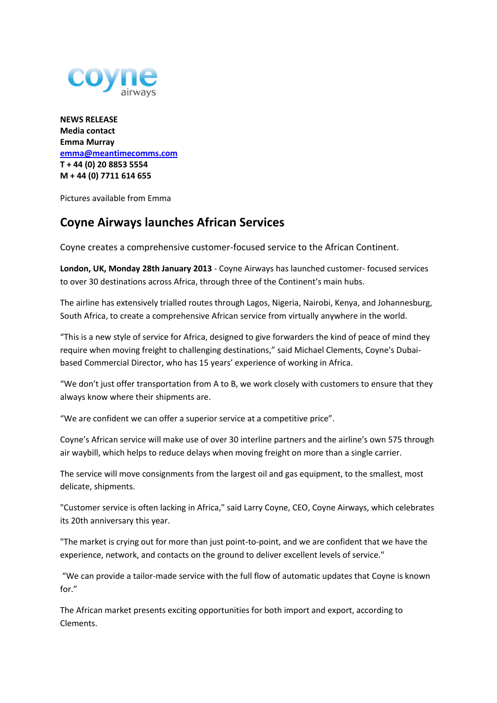

**NEWS RELEASE Media contact Emma Murray [emma@meantimecomms.com](mailto:emma@meantimecomms.com) T + 44 (0) 20 8853 5554 M + 44 (0) 7711 614 655**

Pictures available from Emma

## **Coyne Airways launches African Services**

Coyne creates a comprehensive customer-focused service to the African Continent.

**London, UK, Monday 28th January 2013** - Coyne Airways has launched customer- focused services to over 30 destinations across Africa, through three of the Continent's main hubs.

The airline has extensively trialled routes through Lagos, Nigeria, Nairobi, Kenya, and Johannesburg, South Africa, to create a comprehensive African service from virtually anywhere in the world.

"This is a new style of service for Africa, designed to give forwarders the kind of peace of mind they require when moving freight to challenging destinations," said Michael Clements, Coyne's Dubaibased Commercial Director, who has 15 years' experience of working in Africa.

"We don't just offer transportation from A to B, we work closely with customers to ensure that they always know where their shipments are.

"We are confident we can offer a superior service at a competitive price".

Coyne's African service will make use of over 30 interline partners and the airline's own 575 through air waybill, which helps to reduce delays when moving freight on more than a single carrier.

The service will move consignments from the largest oil and gas equipment, to the smallest, most delicate, shipments.

"Customer service is often lacking in Africa," said Larry Coyne, CEO, Coyne Airways, which celebrates its 20th anniversary this year.

"The market is crying out for more than just point-to-point, and we are confident that we have the experience, network, and contacts on the ground to deliver excellent levels of service."

"We can provide a tailor-made service with the full flow of automatic updates that Coyne is known for."

The African market presents exciting opportunities for both import and export, according to Clements.